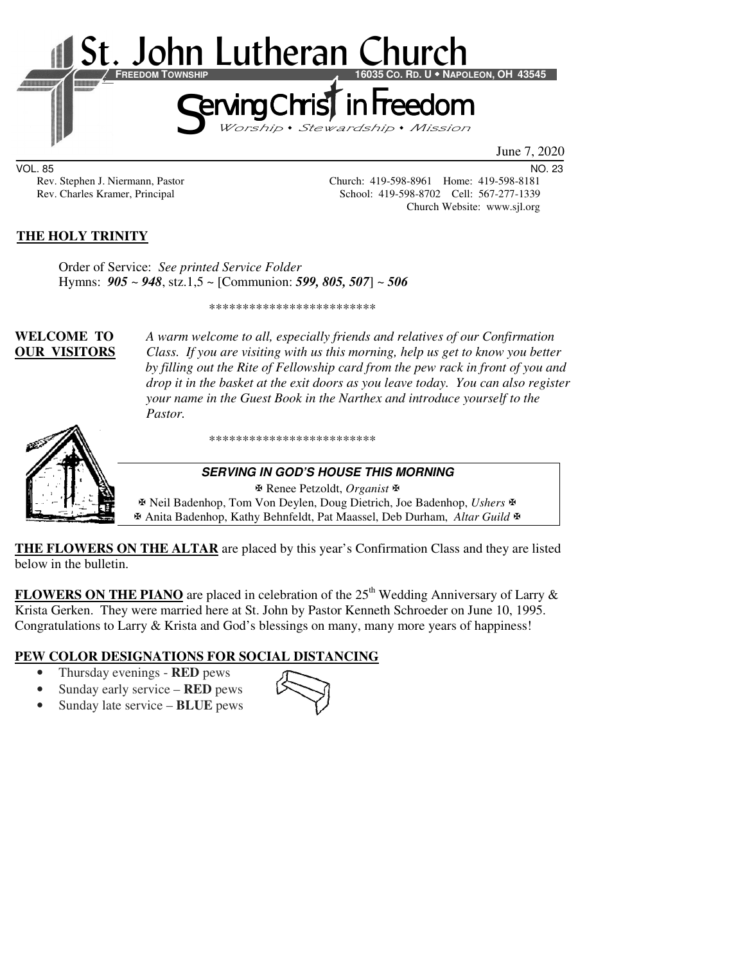

June 7, 2020

VOL. 85 NO. 23

Rev. Stephen J. Niermann, Pastor Church: 419-598-8961 Home: 419-598-8181<br>Rev. Charles Kramer, Principal School: 419-598-8702 Cell: 567-277-1339 School: 419-598-8702 Cell: 567-277-1339 Church Website: www.sjl.org

### **THE HOLY TRINITY**

Order of Service: *See printed Service Folder* Hymns: *905* ~ *948*, stz.1,5 ~ [Communion: *599, 805, 507*] ~ *506*

\*\*\*\*\*\*\*\*\*\*\*\*\*\*\*\*\*\*\*\*\*\*\*\*\*

**WELCOME TO** *A warm welcome to all, especially friends and relatives of our Confirmation*  **OUR VISITORS** *Class. If you are visiting with us this morning, help us get to know you better by filling out the Rite of Fellowship card from the pew rack in front of you and drop it in the basket at the exit doors as you leave today. You can also register your name in the Guest Book in the Narthex and introduce yourself to the Pastor.*



\*\*\*\*\*\*\*\*\*\*\*\*\*\*\*\*\*\*\*\*\*\*\*\*\*

#### **SERVING IN GOD'S HOUSE THIS MORNING**

 Renee Petzoldt, *Organist* Neil Badenhop, Tom Von Deylen, Doug Dietrich, Joe Badenhop, *Ushers* Anita Badenhop, Kathy Behnfeldt, Pat Maassel, Deb Durham, *Altar Guild*

**THE FLOWERS ON THE ALTAR** are placed by this year's Confirmation Class and they are listed below in the bulletin.

**FLOWERS ON THE PIANO** are placed in celebration of the  $25<sup>th</sup>$  Wedding Anniversary of Larry  $\&$ Krista Gerken. They were married here at St. John by Pastor Kenneth Schroeder on June 10, 1995. Congratulations to Larry & Krista and God's blessings on many, many more years of happiness!

# **PEW COLOR DESIGNATIONS FOR SOCIAL DISTANCING**

- Thursday evenings **RED** pews
- Sunday early service **RED** pews
- Sunday late service **BLUE** pews

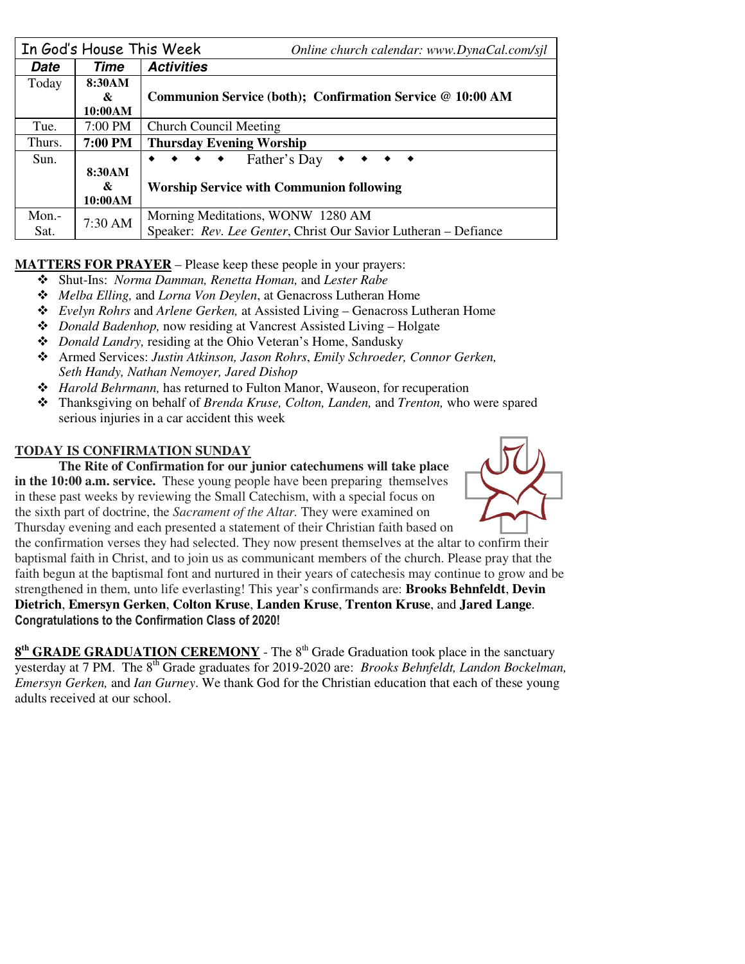|        | In God's House This Week | Online church calendar: www.DynaCal.com/sjl                                   |  |  |
|--------|--------------------------|-------------------------------------------------------------------------------|--|--|
| Date   | Time                     | <b>Activities</b>                                                             |  |  |
| Today  | 8:30AM                   |                                                                               |  |  |
|        | &                        | Communion Service (both); Confirmation Service @ 10:00 AM                     |  |  |
|        | 10:00AM                  |                                                                               |  |  |
| Tue.   | 7:00 PM                  | <b>Church Council Meeting</b>                                                 |  |  |
| Thurs. | <b>7:00 PM</b>           | <b>Thursday Evening Worship</b>                                               |  |  |
| Sun.   |                          | $\leftrightarrow \leftrightarrow$ Father's Day<br>$\rightarrow$ $\rightarrow$ |  |  |
|        | 8:30AM                   |                                                                               |  |  |
|        | &                        | <b>Worship Service with Communion following</b>                               |  |  |
|        | 10:00AM                  |                                                                               |  |  |
| Mon.-  | 7:30 AM                  | Morning Meditations, WONW 1280 AM                                             |  |  |
| Sat.   |                          | Speaker: Rev. Lee Genter, Christ Our Savior Lutheran - Defiance               |  |  |

## **MATTERS FOR PRAYER** – Please keep these people in your prayers:

- Shut-Ins: *Norma Damman, Renetta Homan,* and *Lester Rabe*
- *Melba Elling,* and *Lorna Von Deylen*, at Genacross Lutheran Home
- *Evelyn Rohrs* and *Arlene Gerken,* at Assisted Living Genacross Lutheran Home
- *Donald Badenhop,* now residing at Vancrest Assisted Living Holgate
- *Donald Landry,* residing at the Ohio Veteran's Home, Sandusky
- Armed Services: *Justin Atkinson, Jason Rohrs*, *Emily Schroeder, Connor Gerken, Seth Handy, Nathan Nemoyer, Jared Dishop*
- *Harold Behrmann,* has returned to Fulton Manor, Wauseon, for recuperation
- Thanksgiving on behalf of *Brenda Kruse, Colton, Landen,* and *Trenton,* who were spared serious injuries in a car accident this week

#### **TODAY IS CONFIRMATION SUNDAY**

**The Rite of Confirmation for our junior catechumens will take place in the 10:00 a.m. service.** These young people have been preparing themselves in these past weeks by reviewing the Small Catechism, with a special focus on the sixth part of doctrine, the *Sacrament of the Altar.* They were examined on Thursday evening and each presented a statement of their Christian faith based on



the confirmation verses they had selected. They now present themselves at the altar to confirm their baptismal faith in Christ, and to join us as communicant members of the church. Please pray that the faith begun at the baptismal font and nurtured in their years of catechesis may continue to grow and be strengthened in them, unto life everlasting! This year's confirmands are: **Brooks Behnfeldt**, **Devin Dietrich**, **Emersyn Gerken**, **Colton Kruse**, **Landen Kruse**, **Trenton Kruse**, and **Jared Lange**. **Congratulations to the Confirmation Class of 2020!** 

**8<sup>th</sup> GRADE GRADUATION CEREMONY** - The 8<sup>th</sup> Grade Graduation took place in the sanctuary yesterday at 7 PM. The 8<sup>th</sup> Grade graduates for 2019-2020 are: *Brooks Behnfeldt, Landon Bockelman, Emersyn Gerken,* and *Ian Gurney*. We thank God for the Christian education that each of these young adults received at our school.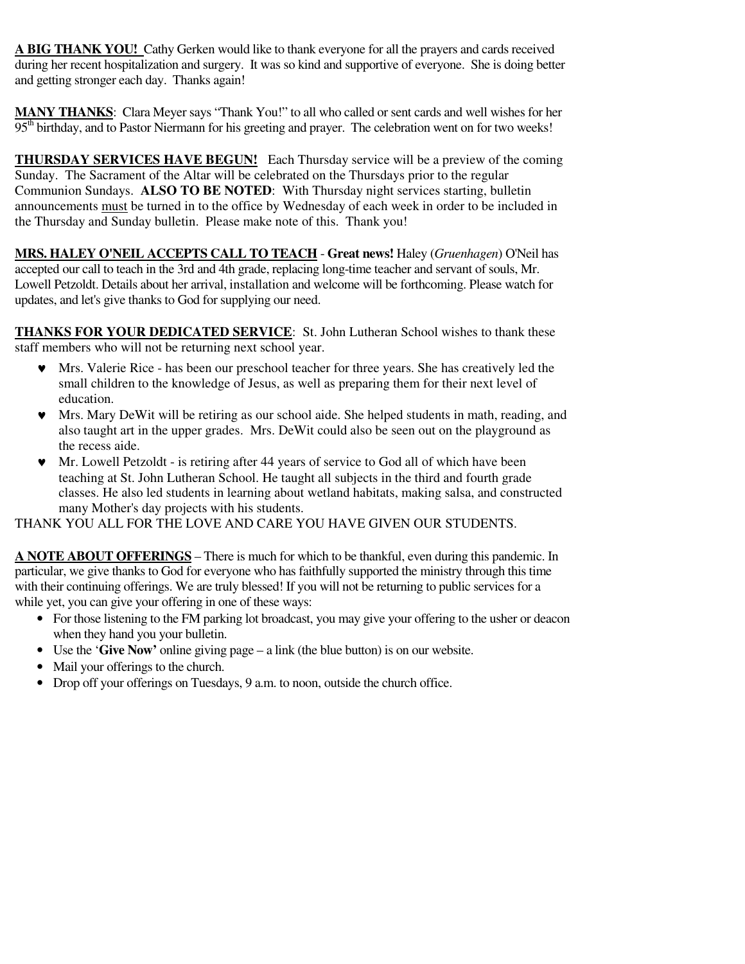**A BIG THANK YOU!** Cathy Gerken would like to thank everyone for all the prayers and cards received during her recent hospitalization and surgery. It was so kind and supportive of everyone. She is doing better and getting stronger each day. Thanks again!

**MANY THANKS**: Clara Meyer says "Thank You!" to all who called or sent cards and well wishes for her 95<sup>th</sup> birthday, and to Pastor Niermann for his greeting and prayer. The celebration went on for two weeks!

**THURSDAY SERVICES HAVE BEGUN!** Each Thursday service will be a preview of the coming Sunday. The Sacrament of the Altar will be celebrated on the Thursdays prior to the regular Communion Sundays. **ALSO TO BE NOTED**: With Thursday night services starting, bulletin announcements must be turned in to the office by Wednesday of each week in order to be included in the Thursday and Sunday bulletin. Please make note of this. Thank you!

**MRS. HALEY O'NEIL ACCEPTS CALL TO TEACH** - **Great news!** Haley (*Gruenhagen*) O'Neil has accepted our call to teach in the 3rd and 4th grade, replacing long-time teacher and servant of souls, Mr. Lowell Petzoldt. Details about her arrival, installation and welcome will be forthcoming. Please watch for updates, and let's give thanks to God for supplying our need.

**THANKS FOR YOUR DEDICATED SERVICE**: St. John Lutheran School wishes to thank these staff members who will not be returning next school year.

- ♥ Mrs. Valerie Rice has been our preschool teacher for three years. She has creatively led the small children to the knowledge of Jesus, as well as preparing them for their next level of education.
- Mrs. Mary DeWit will be retiring as our school aide. She helped students in math, reading, and also taught art in the upper grades. Mrs. DeWit could also be seen out on the playground as the recess aide.
- ♥ Mr. Lowell Petzoldt is retiring after 44 years of service to God all of which have been teaching at St. John Lutheran School. He taught all subjects in the third and fourth grade classes. He also led students in learning about wetland habitats, making salsa, and constructed many Mother's day projects with his students.

THANK YOU ALL FOR THE LOVE AND CARE YOU HAVE GIVEN OUR STUDENTS.

**A NOTE ABOUT OFFERINGS** – There is much for which to be thankful, even during this pandemic. In particular, we give thanks to God for everyone who has faithfully supported the ministry through this time with their continuing offerings. We are truly blessed! If you will not be returning to public services for a while yet, you can give your offering in one of these ways:

- For those listening to the FM parking lot broadcast, you may give your offering to the usher or deacon when they hand you your bulletin.
- Use the '**Give Now'** online giving page a link (the blue button) is on our website.
- Mail your offerings to the church.
- Drop off your offerings on Tuesdays, 9 a.m. to noon, outside the church office.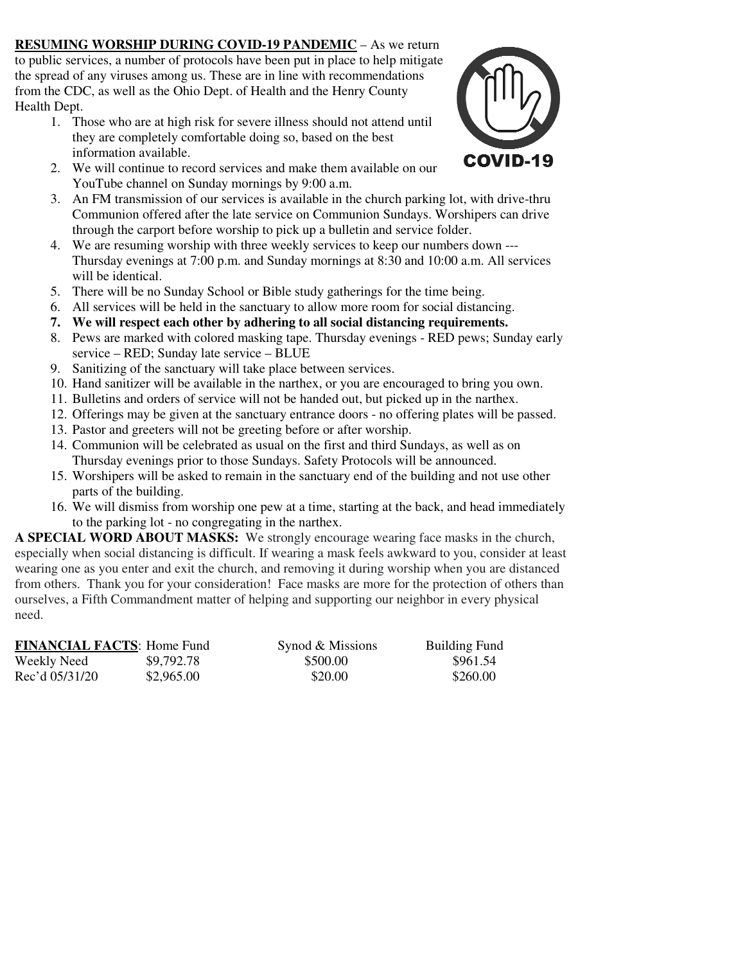**RESUMING WORSHIP DURING COVID-19 PANDEMIC** – As we return to public services, a number of protocols have been put in place to help mitigate the spread of any viruses among us. These are in line with recommendations from the CDC, as well as the Ohio Dept. of Health and the Henry County Health Dept.

1. Those who are at high risk for severe illness should not attend until they are completely comfortable doing so, based on the best information available.



- 2. We will continue to record services and make them available on our YouTube channel on Sunday mornings by 9:00 a.m.
- 3. An FM transmission of our services is available in the church parking lot, with drive-thru Communion offered after the late service on Communion Sundays. Worshipers can drive through the carport before worship to pick up a bulletin and service folder.
- 4. We are resuming worship with three weekly services to keep our numbers down --- Thursday evenings at 7:00 p.m. and Sunday mornings at 8:30 and 10:00 a.m. All services will be identical.
- 5. There will be no Sunday School or Bible study gatherings for the time being.
- 6. All services will be held in the sanctuary to allow more room for social distancing.
- **7. We will respect each other by adhering to all social distancing requirements.**
- 8. Pews are marked with colored masking tape. Thursday evenings RED pews; Sunday early service – RED; Sunday late service – BLUE
- 9. Sanitizing of the sanctuary will take place between services.
- 10. Hand sanitizer will be available in the narthex, or you are encouraged to bring you own.
- 11. Bulletins and orders of service will not be handed out, but picked up in the narthex.
- 12. Offerings may be given at the sanctuary entrance doors no offering plates will be passed.
- 13. Pastor and greeters will not be greeting before or after worship.
- 14. Communion will be celebrated as usual on the first and third Sundays, as well as on Thursday evenings prior to those Sundays. Safety Protocols will be announced.
- 15. Worshipers will be asked to remain in the sanctuary end of the building and not use other parts of the building.
- 16. We will dismiss from worship one pew at a time, starting at the back, and head immediately to the parking lot - no congregating in the narthex.

**A SPECIAL WORD ABOUT MASKS:** We strongly encourage wearing face masks in the church, especially when social distancing is difficult. If wearing a mask feels awkward to you, consider at least wearing one as you enter and exit the church, and removing it during worship when you are distanced from others. Thank you for your consideration! Face masks are more for the protection of others than ourselves, a Fifth Commandment matter of helping and supporting our neighbor in every physical need.

| <b>FINANCIAL FACTS: Home Fund</b> |            | Synod & Missions | <b>Building Fund</b> |
|-----------------------------------|------------|------------------|----------------------|
| Weekly Need                       | \$9,792.78 | \$500.00         | \$961.54             |
| Rec'd 05/31/20                    | \$2,965.00 | \$20.00          | \$260.00             |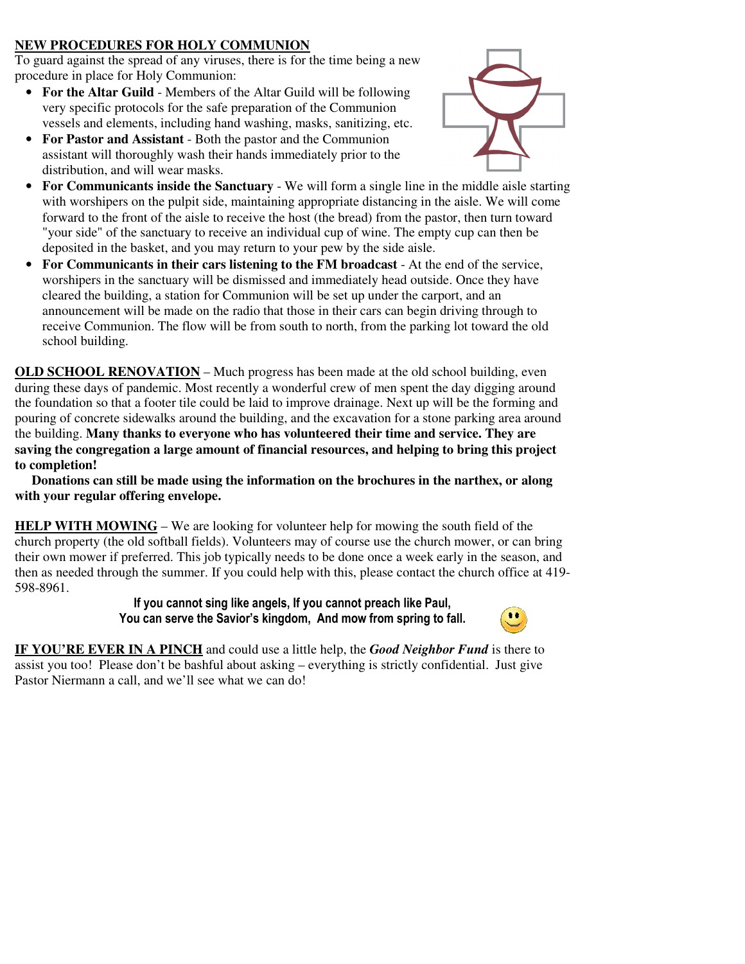### **NEW PROCEDURES FOR HOLY COMMUNION**

To guard against the spread of any viruses, there is for the time being a new procedure in place for Holy Communion:

- **For the Altar Guild** Members of the Altar Guild will be following very specific protocols for the safe preparation of the Communion vessels and elements, including hand washing, masks, sanitizing, etc.
- **For Pastor and Assistant**  Both the pastor and the Communion assistant will thoroughly wash their hands immediately prior to the distribution, and will wear masks.



- **For Communicants inside the Sanctuary** We will form a single line in the middle aisle starting with worshipers on the pulpit side, maintaining appropriate distancing in the aisle. We will come forward to the front of the aisle to receive the host (the bread) from the pastor, then turn toward "your side" of the sanctuary to receive an individual cup of wine. The empty cup can then be deposited in the basket, and you may return to your pew by the side aisle.
- **For Communicants in their cars listening to the FM broadcast**  At the end of the service, worshipers in the sanctuary will be dismissed and immediately head outside. Once they have cleared the building, a station for Communion will be set up under the carport, and an announcement will be made on the radio that those in their cars can begin driving through to receive Communion. The flow will be from south to north, from the parking lot toward the old school building.

**OLD SCHOOL RENOVATION –** Much progress has been made at the old school building, even during these days of pandemic. Most recently a wonderful crew of men spent the day digging around the foundation so that a footer tile could be laid to improve drainage. Next up will be the forming and pouring of concrete sidewalks around the building, and the excavation for a stone parking area around the building. **Many thanks to everyone who has volunteered their time and service. They are saving the congregation a large amount of financial resources, and helping to bring this project to completion!** 

 **Donations can still be made using the information on the brochures in the narthex, or along with your regular offering envelope.** 

**HELP WITH MOWING** – We are looking for volunteer help for mowing the south field of the church property (the old softball fields). Volunteers may of course use the church mower, or can bring their own mower if preferred. This job typically needs to be done once a week early in the season, and then as needed through the summer. If you could help with this, please contact the church office at 419- 598-8961.

> **If you cannot sing like angels, If you cannot preach like Paul, You can serve the Savior's kingdom, And mow from spring to fall.**



**IF YOU'RE EVER IN A PINCH** and could use a little help, the *Good Neighbor Fund* is there to assist you too! Please don't be bashful about asking – everything is strictly confidential. Just give Pastor Niermann a call, and we'll see what we can do!